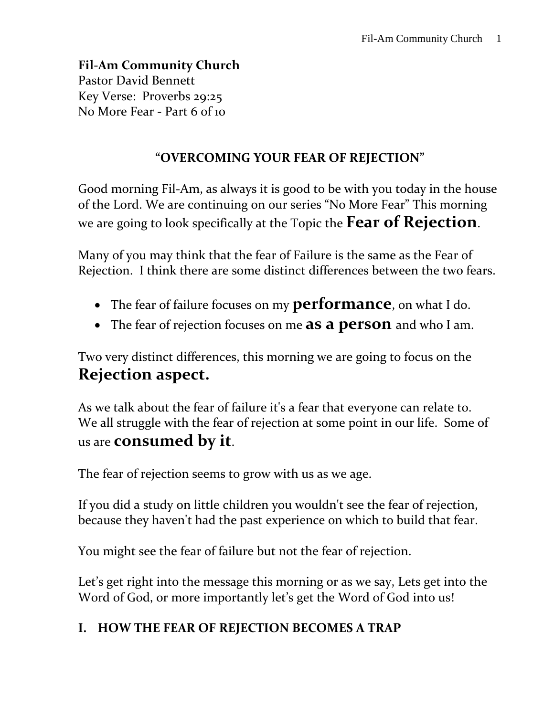**Fil-Am Community Church** Pastor David Bennett Key Verse: Proverbs 29:25 No More Fear - Part 6 of 10

#### **"OVERCOMING YOUR FEAR OF REJECTION"**

Good morning Fil-Am, as always it is good to be with you today in the house of the Lord. We are continuing on our series "No More Fear" This morning we are going to look specifically at the Topic the **Fear of Rejection**.

Many of you may think that the fear of Failure is the same as the Fear of Rejection. I think there are some distinct differences between the two fears.

- The fear of failure focuses on my **performance**, on what I do.
- The fear of rejection focuses on me **as a person** and who I am.

Two very distinct differences, this morning we are going to focus on the **Rejection aspect.**

As we talk about the fear of failure it's a fear that everyone can relate to. We all struggle with the fear of rejection at some point in our life. Some of us are **consumed by it**.

The fear of rejection seems to grow with us as we age.

If you did a study on little children you wouldn't see the fear of rejection, because they haven't had the past experience on which to build that fear.

You might see the fear of failure but not the fear of rejection.

Let's get right into the message this morning or as we say, Lets get into the Word of God, or more importantly let's get the Word of God into us!

## **I. HOW THE FEAR OF REJECTION BECOMES A TRAP**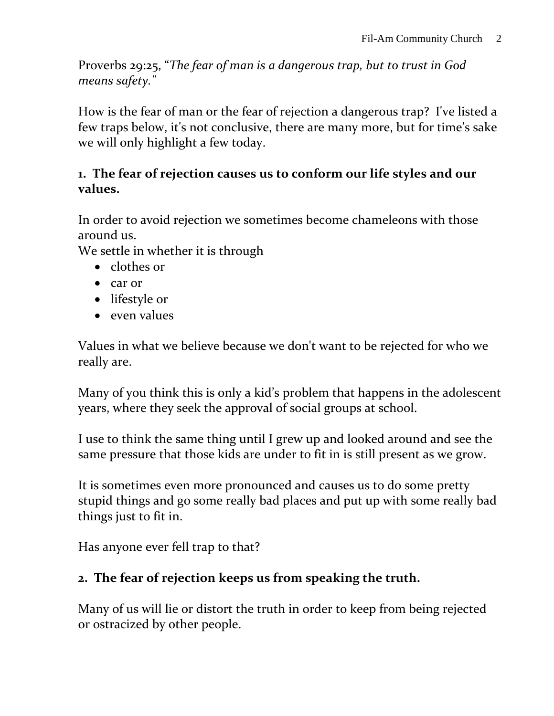Proverbs 29:25, "*The fear of man is a dangerous trap, but to trust in God means safety."*

How is the fear of man or the fear of rejection a dangerous trap? I've listed a few traps below, it's not conclusive, there are many more, but for time's sake we will only highlight a few today.

#### **1. The fear of rejection causes us to conform our life styles and our values.**

In order to avoid rejection we sometimes become chameleons with those around us.

We settle in whether it is through

- clothes or
- car or
- lifestyle or
- $\bullet$  even values

Values in what we believe because we don't want to be rejected for who we really are.

Many of you think this is only a kid's problem that happens in the adolescent years, where they seek the approval of social groups at school.

I use to think the same thing until I grew up and looked around and see the same pressure that those kids are under to fit in is still present as we grow.

It is sometimes even more pronounced and causes us to do some pretty stupid things and go some really bad places and put up with some really bad things just to fit in.

Has anyone ever fell trap to that?

# **2. The fear of rejection keeps us from speaking the truth.**

Many of us will lie or distort the truth in order to keep from being rejected or ostracized by other people.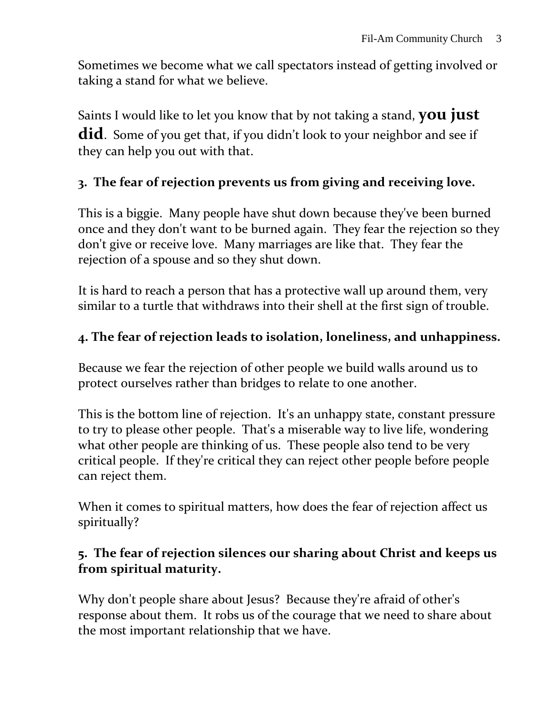Sometimes we become what we call spectators instead of getting involved or taking a stand for what we believe.

Saints I would like to let you know that by not taking a stand, **you just did**. Some of you get that, if you didn't look to your neighbor and see if they can help you out with that.

## **3. The fear of rejection prevents us from giving and receiving love.**

This is a biggie. Many people have shut down because they've been burned once and they don't want to be burned again. They fear the rejection so they don't give or receive love. Many marriages are like that. They fear the rejection of a spouse and so they shut down.

It is hard to reach a person that has a protective wall up around them, very similar to a turtle that withdraws into their shell at the first sign of trouble.

## **4. The fear of rejection leads to isolation, loneliness, and unhappiness.**

Because we fear the rejection of other people we build walls around us to protect ourselves rather than bridges to relate to one another.

This is the bottom line of rejection. It's an unhappy state, constant pressure to try to please other people. That's a miserable way to live life, wondering what other people are thinking of us. These people also tend to be very critical people. If they're critical they can reject other people before people can reject them.

When it comes to spiritual matters, how does the fear of rejection affect us spiritually?

#### **5. The fear of rejection silences our sharing about Christ and keeps us from spiritual maturity.**

Why don't people share about Jesus? Because they're afraid of other's response about them. It robs us of the courage that we need to share about the most important relationship that we have.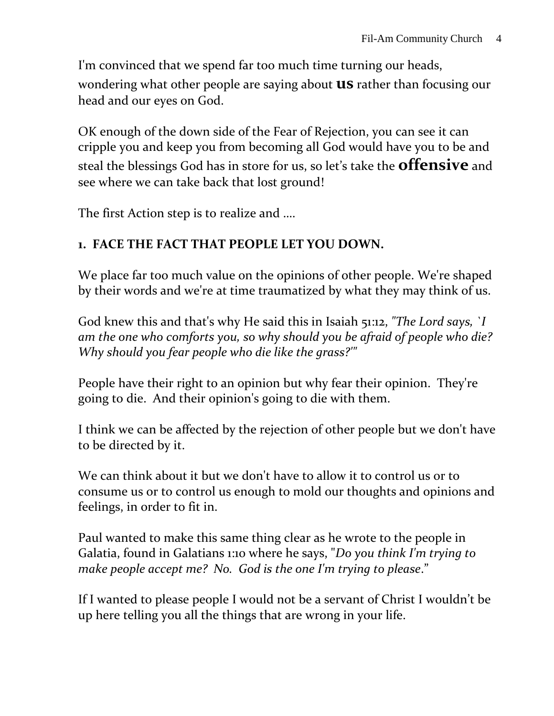I'm convinced that we spend far too much time turning our heads, wondering what other people are saying about **us** rather than focusing our head and our eyes on God.

OK enough of the down side of the Fear of Rejection, you can see it can cripple you and keep you from becoming all God would have you to be and steal the blessings God has in store for us, so let's take the **offensive** and see where we can take back that lost ground!

The first Action step is to realize and ….

## **1. FACE THE FACT THAT PEOPLE LET YOU DOWN.**

We place far too much value on the opinions of other people. We're shaped by their words and we're at time traumatized by what they may think of us.

God knew this and that's why He said this in Isaiah 51:12, *"The Lord says, `I am the one who comforts you, so why should you be afraid of people who die? Why should you fear people who die like the grass?'"*

People have their right to an opinion but why fear their opinion. They're going to die. And their opinion's going to die with them.

I think we can be affected by the rejection of other people but we don't have to be directed by it.

We can think about it but we don't have to allow it to control us or to consume us or to control us enough to mold our thoughts and opinions and feelings, in order to fit in.

Paul wanted to make this same thing clear as he wrote to the people in Galatia, found in Galatians 1:10 where he says, "*Do you think I'm trying to make people accept me? No. God is the one I'm trying to please*."

If I wanted to please people I would not be a servant of Christ I wouldn't be up here telling you all the things that are wrong in your life.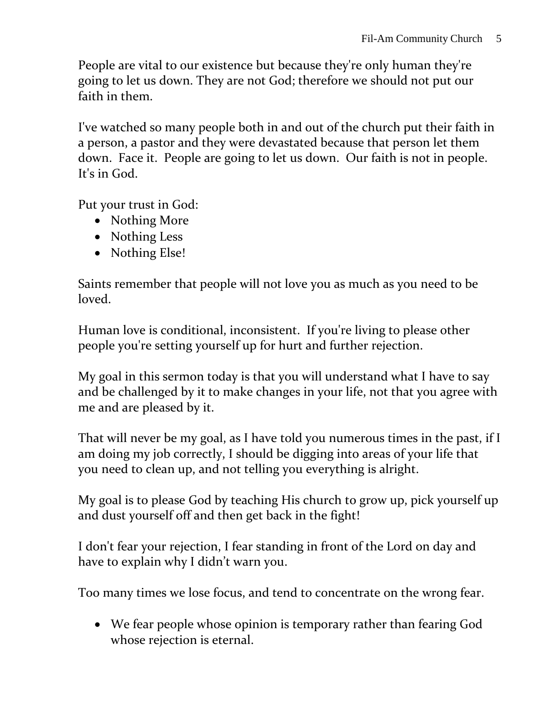People are vital to our existence but because they're only human they're going to let us down. They are not God; therefore we should not put our faith in them.

I've watched so many people both in and out of the church put their faith in a person, a pastor and they were devastated because that person let them down. Face it. People are going to let us down. Our faith is not in people. It's in God.

Put your trust in God:

- Nothing More
- Nothing Less
- Nothing Else!

Saints remember that people will not love you as much as you need to be loved.

Human love is conditional, inconsistent. If you're living to please other people you're setting yourself up for hurt and further rejection.

My goal in this sermon today is that you will understand what I have to say and be challenged by it to make changes in your life, not that you agree with me and are pleased by it.

That will never be my goal, as I have told you numerous times in the past, if I am doing my job correctly, I should be digging into areas of your life that you need to clean up, and not telling you everything is alright.

My goal is to please God by teaching His church to grow up, pick yourself up and dust yourself off and then get back in the fight!

I don't fear your rejection, I fear standing in front of the Lord on day and have to explain why I didn't warn you.

Too many times we lose focus, and tend to concentrate on the wrong fear.

 We fear people whose opinion is temporary rather than fearing God whose rejection is eternal.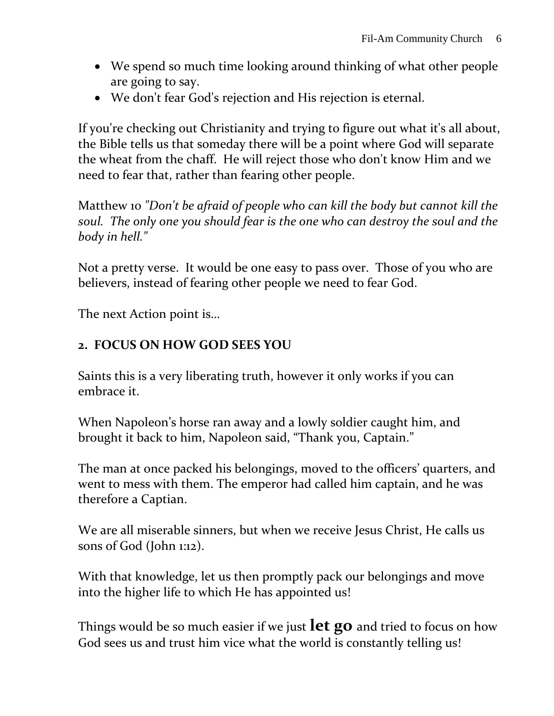- We spend so much time looking around thinking of what other people are going to say.
- We don't fear God's rejection and His rejection is eternal.

If you're checking out Christianity and trying to figure out what it's all about, the Bible tells us that someday there will be a point where God will separate the wheat from the chaff. He will reject those who don't know Him and we need to fear that, rather than fearing other people.

Matthew 10 *"Don't be afraid of people who can kill the body but cannot kill the soul. The only one you should fear is the one who can destroy the soul and the body in hell."*

Not a pretty verse. It would be one easy to pass over. Those of you who are believers, instead of fearing other people we need to fear God.

The next Action point is…

## **2. FOCUS ON HOW GOD SEES YOU**

Saints this is a very liberating truth, however it only works if you can embrace it.

When Napoleon's horse ran away and a lowly soldier caught him, and brought it back to him, Napoleon said, "Thank you, Captain."

The man at once packed his belongings, moved to the officers' quarters, and went to mess with them. The emperor had called him captain, and he was therefore a Captian.

We are all miserable sinners, but when we receive Jesus Christ, He calls us sons of God (John 1:12).

With that knowledge, let us then promptly pack our belongings and move into the higher life to which He has appointed us!

Things would be so much easier if we just **let go** and tried to focus on how God sees us and trust him vice what the world is constantly telling us!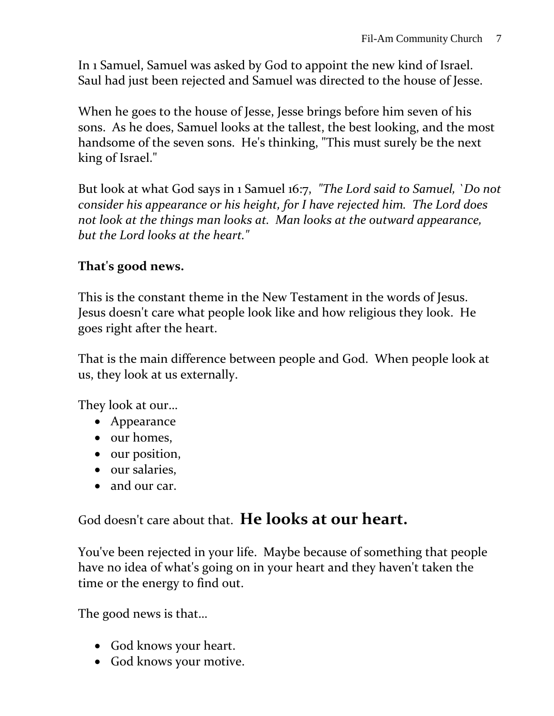In 1 Samuel, Samuel was asked by God to appoint the new kind of Israel. Saul had just been rejected and Samuel was directed to the house of Jesse.

When he goes to the house of Jesse, Jesse brings before him seven of his sons. As he does, Samuel looks at the tallest, the best looking, and the most handsome of the seven sons. He's thinking, "This must surely be the next king of Israel."

But look at what God says in 1 Samuel 16:7, *"The Lord said to Samuel, `Do not consider his appearance or his height, for I have rejected him. The Lord does not look at the things man looks at. Man looks at the outward appearance, but the Lord looks at the heart."*

#### **That's good news.**

This is the constant theme in the New Testament in the words of Jesus. Jesus doesn't care what people look like and how religious they look. He goes right after the heart.

That is the main difference between people and God. When people look at us, they look at us externally.

They look at our…

- Appearance
- $\bullet$  our homes,
- our position,
- our salaries,
- and our car.

God doesn't care about that. **He looks at our heart.**

You've been rejected in your life. Maybe because of something that people have no idea of what's going on in your heart and they haven't taken the time or the energy to find out.

The good news is that…

- God knows your heart.
- God knows your motive.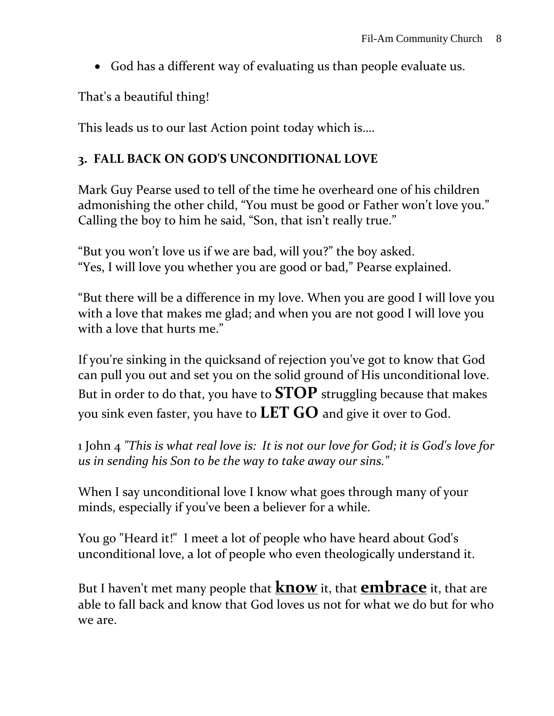God has a different way of evaluating us than people evaluate us.

That's a beautiful thing!

This leads us to our last Action point today which is….

## **3. FALL BACK ON GOD'S UNCONDITIONAL LOVE**

Mark Guy Pearse used to tell of the time he overheard one of his children admonishing the other child, "You must be good or Father won't love you." Calling the boy to him he said, "Son, that isn't really true."

"But you won't love us if we are bad, will you?" the boy asked. "Yes, I will love you whether you are good or bad," Pearse explained.

"But there will be a difference in my love. When you are good I will love you with a love that makes me glad; and when you are not good I will love you with a love that hurts me."

If you're sinking in the quicksand of rejection you've got to know that God can pull you out and set you on the solid ground of His unconditional love. But in order to do that, you have to **STOP** struggling because that makes you sink even faster, you have to **LET GO** and give it over to God.

1 John 4 *"This is what real love is: It is not our love for God; it is God's love for us in sending his Son to be the way to take away our sins."*

When I say unconditional love I know what goes through many of your minds, especially if you've been a believer for a while.

You go "Heard it!" I meet a lot of people who have heard about God's unconditional love, a lot of people who even theologically understand it.

But I haven't met many people that **know** it, that **embrace** it, that are able to fall back and know that God loves us not for what we do but for who we are.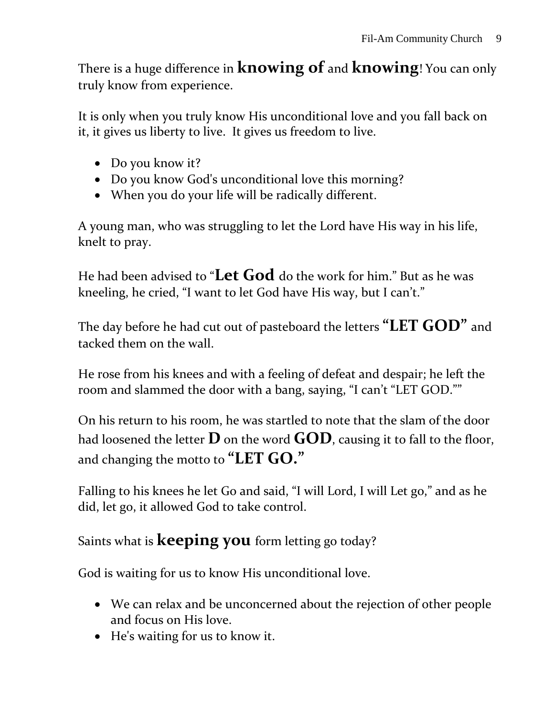There is a huge difference in **knowing of** and **knowing**! You can only truly know from experience.

It is only when you truly know His unconditional love and you fall back on it, it gives us liberty to live. It gives us freedom to live.

- Do you know it?
- Do you know God's unconditional love this morning?
- When you do your life will be radically different.

A young man, who was struggling to let the Lord have His way in his life, knelt to pray.

He had been advised to "**Let God** do the work for him." But as he was kneeling, he cried, "I want to let God have His way, but I can't."

The day before he had cut out of pasteboard the letters **"LET GOD"** and tacked them on the wall.

He rose from his knees and with a feeling of defeat and despair; he left the room and slammed the door with a bang, saying, "I can't "LET GOD.""

On his return to his room, he was startled to note that the slam of the door had loosened the letter  $\bf{D}$  on the word  $\bf{GOD}$ , causing it to fall to the floor, and changing the motto to **"LET GO."**

Falling to his knees he let Go and said, "I will Lord, I will Let go," and as he did, let go, it allowed God to take control.

# Saints what is **keeping you** form letting go today?

God is waiting for us to know His unconditional love.

- We can relax and be unconcerned about the rejection of other people and focus on His love.
- He's waiting for us to know it.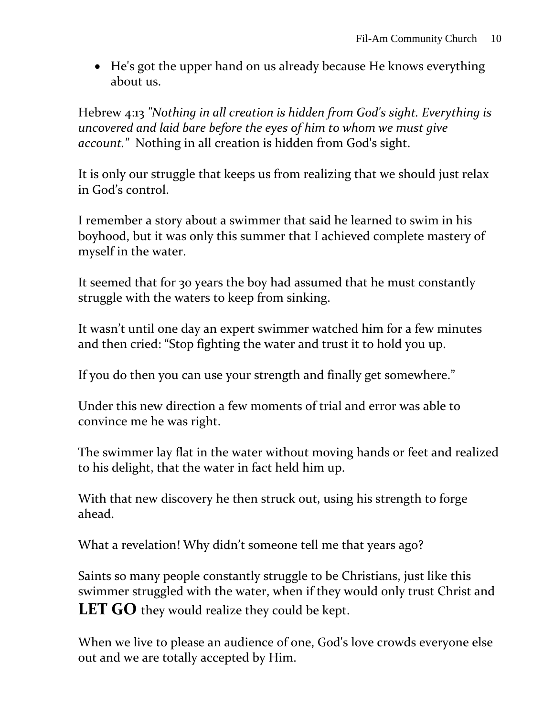• He's got the upper hand on us already because He knows everything about us.

Hebrew 4:13 *"Nothing in all creation is hidden from God's sight. Everything is uncovered and laid bare before the eyes of him to whom we must give account."* Nothing in all creation is hidden from God's sight.

It is only our struggle that keeps us from realizing that we should just relax in God's control.

I remember a story about a swimmer that said he learned to swim in his boyhood, but it was only this summer that I achieved complete mastery of myself in the water.

It seemed that for 30 years the boy had assumed that he must constantly struggle with the waters to keep from sinking.

It wasn't until one day an expert swimmer watched him for a few minutes and then cried: "Stop fighting the water and trust it to hold you up.

If you do then you can use your strength and finally get somewhere."

Under this new direction a few moments of trial and error was able to convince me he was right.

The swimmer lay flat in the water without moving hands or feet and realized to his delight, that the water in fact held him up.

With that new discovery he then struck out, using his strength to forge ahead.

What a revelation! Why didn't someone tell me that years ago?

Saints so many people constantly struggle to be Christians, just like this swimmer struggled with the water, when if they would only trust Christ and **LET GO** they would realize they could be kept.

When we live to please an audience of one, God's love crowds everyone else out and we are totally accepted by Him.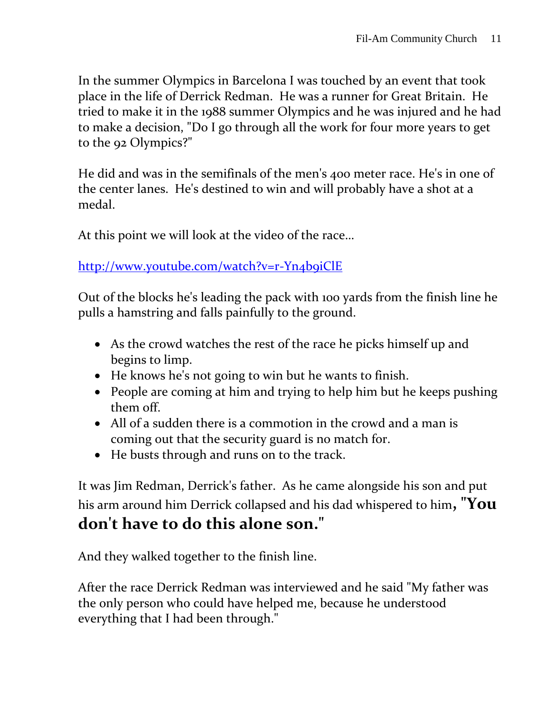In the summer Olympics in Barcelona I was touched by an event that took place in the life of Derrick Redman. He was a runner for Great Britain. He tried to make it in the 1988 summer Olympics and he was injured and he had to make a decision, "Do I go through all the work for four more years to get to the 92 Olympics?"

He did and was in the semifinals of the men's 400 meter race. He's in one of the center lanes. He's destined to win and will probably have a shot at a medal.

At this point we will look at the video of the race…

<http://www.youtube.com/watch?v=r-Yn4b9iClE>

Out of the blocks he's leading the pack with 100 yards from the finish line he pulls a hamstring and falls painfully to the ground.

- As the crowd watches the rest of the race he picks himself up and begins to limp.
- He knows he's not going to win but he wants to finish.
- People are coming at him and trying to help him but he keeps pushing them off.
- All of a sudden there is a commotion in the crowd and a man is coming out that the security guard is no match for.
- He busts through and runs on to the track.

It was Jim Redman, Derrick's father. As he came alongside his son and put his arm around him Derrick collapsed and his dad whispered to him**, "You don't have to do this alone son."** 

And they walked together to the finish line.

After the race Derrick Redman was interviewed and he said "My father was the only person who could have helped me, because he understood everything that I had been through."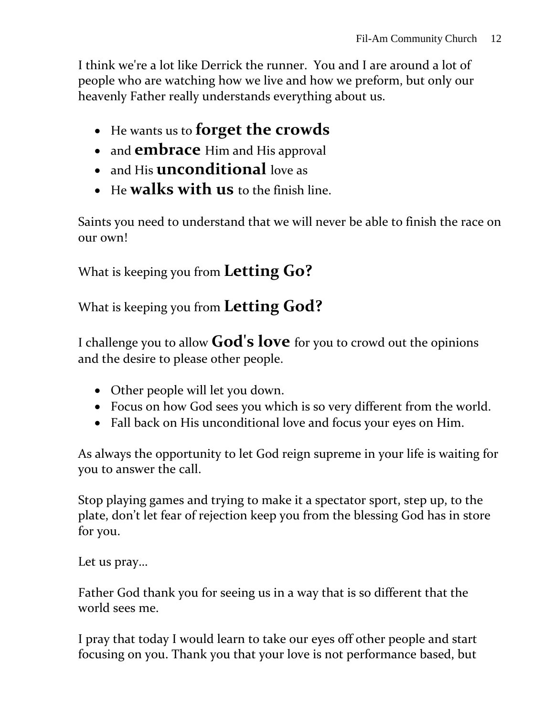I think we're a lot like Derrick the runner. You and I are around a lot of people who are watching how we live and how we preform, but only our heavenly Father really understands everything about us.

- He wants us to **forget the crowds**
- and **embrace** Him and His approval
- and His **unconditional** love as
- He **walks with us** to the finish line.

Saints you need to understand that we will never be able to finish the race on our own!

What is keeping you from **Letting Go?**

What is keeping you from **Letting God?**

I challenge you to allow **God's love** for you to crowd out the opinions and the desire to please other people.

- Other people will let you down.
- Focus on how God sees you which is so very different from the world.
- Fall back on His unconditional love and focus your eyes on Him.

As always the opportunity to let God reign supreme in your life is waiting for you to answer the call.

Stop playing games and trying to make it a spectator sport, step up, to the plate, don't let fear of rejection keep you from the blessing God has in store for you.

Let us pray…

Father God thank you for seeing us in a way that is so different that the world sees me.

I pray that today I would learn to take our eyes off other people and start focusing on you. Thank you that your love is not performance based, but